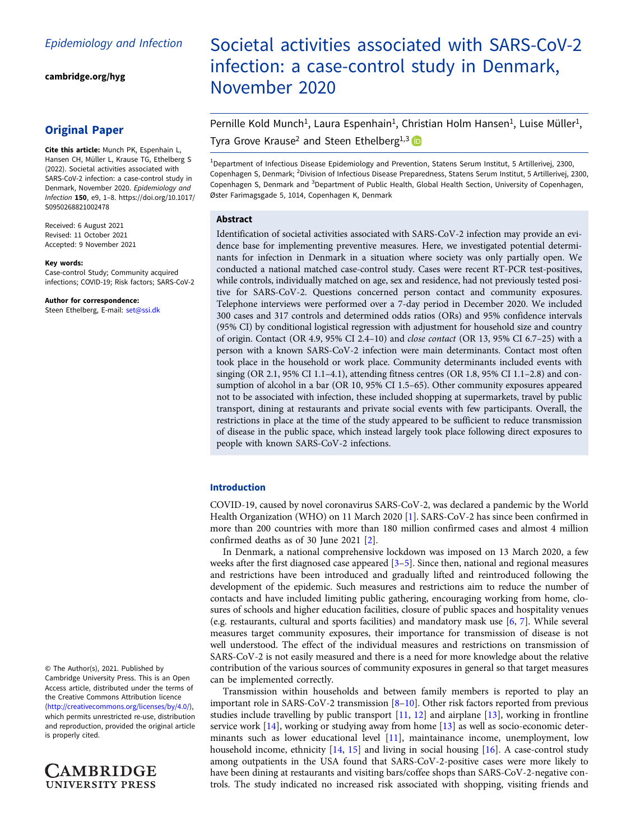[cambridge.org/hyg](https://www.cambridge.org/hyg)

# Original Paper

Cite this article: Munch PK, Espenhain L, Hansen CH, Müller L, Krause TG, Ethelberg S (2022). Societal activities associated with SARS-CoV-2 infection: a case-control study in Denmark, November 2020. Epidemiology and Infection 150, e9, 1–8. [https://doi.org/10.1017/](https://doi.org/10.1017/S0950268821002478) [S0950268821002478](https://doi.org/10.1017/S0950268821002478)

Received: 6 August 2021 Revised: 11 October 2021 Accepted: 9 November 2021

#### Key words:

Case-control Study; Community acquired infections; COVID-19; Risk factors; SARS-CoV-2

Author for correspondence: Steen Ethelberg, E-mail: [set@ssi.dk](mailto:set@ssi.dk)

© The Author(s), 2021. Published by Cambridge University Press. This is an Open Access article, distributed under the terms of the Creative Commons Attribution licence ([http://creativecommons.org/licenses/by/4.0/\)](http://creativecommons.org/licenses/by/4.0/), which permits unrestricted re-use, distribution and reproduction, provided the original article is properly cited.



# Societal activities associated with SARS-CoV-2 infection: a case-control study in Denmark, November 2020

Pernille Kold Munch<sup>1</sup>, Laura Espenhain<sup>1</sup>, Christian Holm Hansen<sup>1</sup>, Luise Müller<sup>1</sup>, Tyra Grove Krause<sup>2</sup> and Steen Ethelberg<sup>1,3</sup>

<sup>1</sup>Department of Infectious Disease Epidemiology and Prevention, Statens Serum Institut, 5 Artillerivej, 2300, Copenhagen S, Denmark; <sup>2</sup>Division of Infectious Disease Preparedness, Statens Serum Institut, 5 Artillerivej, 2300, Copenhagen S, Denmark and <sup>3</sup>Department of Public Health, Global Health Section, University of Copenhagen, Øster Farimagsgade 5, 1014, Copenhagen K, Denmark

# Abstract

Identification of societal activities associated with SARS-CoV-2 infection may provide an evidence base for implementing preventive measures. Here, we investigated potential determinants for infection in Denmark in a situation where society was only partially open. We conducted a national matched case-control study. Cases were recent RT-PCR test-positives, while controls, individually matched on age, sex and residence, had not previously tested positive for SARS-CoV-2. Questions concerned person contact and community exposures. Telephone interviews were performed over a 7-day period in December 2020. We included 300 cases and 317 controls and determined odds ratios (ORs) and 95% confidence intervals (95% CI) by conditional logistical regression with adjustment for household size and country of origin. Contact (OR 4.9, 95% CI 2.4–10) and close contact (OR 13, 95% CI 6.7–25) with a person with a known SARS-CoV-2 infection were main determinants. Contact most often took place in the household or work place. Community determinants included events with singing (OR 2.1, 95% CI 1.1–4.1), attending fitness centres (OR 1.8, 95% CI 1.1–2.8) and consumption of alcohol in a bar (OR 10, 95% CI 1.5–65). Other community exposures appeared not to be associated with infection, these included shopping at supermarkets, travel by public transport, dining at restaurants and private social events with few participants. Overall, the restrictions in place at the time of the study appeared to be sufficient to reduce transmission of disease in the public space, which instead largely took place following direct exposures to people with known SARS-CoV-2 infections.

# Introduction

COVID-19, caused by novel coronavirus SARS-CoV-2, was declared a pandemic by the World Health Organization (WHO) on 11 March 2020 [\[1\]](#page-6-0). SARS-CoV-2 has since been confirmed in more than 200 countries with more than 180 million confirmed cases and almost 4 million confirmed deaths as of 30 June 2021 [\[2\]](#page-6-0).

In Denmark, a national comprehensive lockdown was imposed on 13 March 2020, a few weeks after the first diagnosed case appeared  $[3-5]$  $[3-5]$  $[3-5]$  $[3-5]$ . Since then, national and regional measures and restrictions have been introduced and gradually lifted and reintroduced following the development of the epidemic. Such measures and restrictions aim to reduce the number of contacts and have included limiting public gathering, encouraging working from home, closures of schools and higher education facilities, closure of public spaces and hospitality venues (e.g. restaurants, cultural and sports facilities) and mandatory mask use [\[6,](#page-6-0) [7](#page-6-0)]. While several measures target community exposures, their importance for transmission of disease is not well understood. The effect of the individual measures and restrictions on transmission of SARS-CoV-2 is not easily measured and there is a need for more knowledge about the relative contribution of the various sources of community exposures in general so that target measures can be implemented correctly.

Transmission within households and between family members is reported to play an important role in SARS-CoV-2 transmission [[8](#page-6-0)–[10](#page-6-0)]. Other risk factors reported from previous studies include travelling by public transport [\[11,](#page-6-0) [12\]](#page-7-0) and airplane [\[13](#page-7-0)], working in frontline service work [[14\]](#page-7-0), working or studying away from home [[13](#page-7-0)] as well as socio-economic determinants such as lower educational level [\[11](#page-6-0)], maintainance income, unemployment, low household income, ethnicity [\[14](#page-7-0), [15\]](#page-7-0) and living in social housing [\[16](#page-7-0)]. A case-control study among outpatients in the USA found that SARS-CoV-2-positive cases were more likely to have been dining at restaurants and visiting bars/coffee shops than SARS-CoV-2-negative controls. The study indicated no increased risk associated with shopping, visiting friends and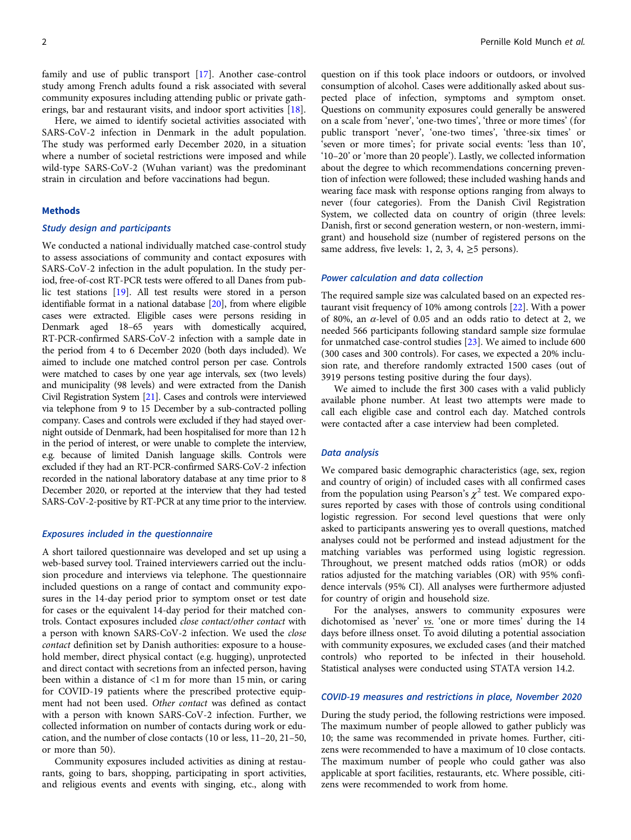family and use of public transport [[17\]](#page-7-0). Another case-control study among French adults found a risk associated with several community exposures including attending public or private gatherings, bar and restaurant visits, and indoor sport activities [\[18](#page-7-0)].

Here, we aimed to identify societal activities associated with SARS-CoV-2 infection in Denmark in the adult population. The study was performed early December 2020, in a situation where a number of societal restrictions were imposed and while wild-type SARS-CoV-2 (Wuhan variant) was the predominant strain in circulation and before vaccinations had begun.

# Methods

#### Study design and participants

We conducted a national individually matched case-control study to assess associations of community and contact exposures with SARS-CoV-2 infection in the adult population. In the study period, free-of-cost RT-PCR tests were offered to all Danes from public test stations [[19\]](#page-7-0). All test results were stored in a person identifiable format in a national database [[20\]](#page-7-0), from where eligible cases were extracted. Eligible cases were persons residing in Denmark aged 18–65 years with domestically acquired, RT-PCR-confirmed SARS-CoV-2 infection with a sample date in the period from 4 to 6 December 2020 (both days included). We aimed to include one matched control person per case. Controls were matched to cases by one year age intervals, sex (two levels) and municipality (98 levels) and were extracted from the Danish Civil Registration System [[21\]](#page-7-0). Cases and controls were interviewed via telephone from 9 to 15 December by a sub-contracted polling company. Cases and controls were excluded if they had stayed overnight outside of Denmark, had been hospitalised for more than 12 h in the period of interest, or were unable to complete the interview, e.g. because of limited Danish language skills. Controls were excluded if they had an RT-PCR-confirmed SARS-CoV-2 infection recorded in the national laboratory database at any time prior to 8 December 2020, or reported at the interview that they had tested SARS-CoV-2-positive by RT-PCR at any time prior to the interview.

# Exposures included in the questionnaire

A short tailored questionnaire was developed and set up using a web-based survey tool. Trained interviewers carried out the inclusion procedure and interviews via telephone. The questionnaire included questions on a range of contact and community exposures in the 14-day period prior to symptom onset or test date for cases or the equivalent 14-day period for their matched controls. Contact exposures included close contact/other contact with a person with known SARS-CoV-2 infection. We used the close contact definition set by Danish authorities: exposure to a household member, direct physical contact (e.g. hugging), unprotected and direct contact with secretions from an infected person, having been within a distance of <1 m for more than 15 min, or caring for COVID-19 patients where the prescribed protective equipment had not been used. Other contact was defined as contact with a person with known SARS-CoV-2 infection. Further, we collected information on number of contacts during work or education, and the number of close contacts (10 or less, 11–20, 21–50, or more than 50).

Community exposures included activities as dining at restaurants, going to bars, shopping, participating in sport activities, and religious events and events with singing, etc., along with

question on if this took place indoors or outdoors, or involved consumption of alcohol. Cases were additionally asked about suspected place of infection, symptoms and symptom onset. Questions on community exposures could generally be answered on a scale from 'never', 'one-two times', 'three or more times' (for public transport 'never', 'one-two times', 'three-six times' or 'seven or more times'; for private social events: 'less than 10', '10–20' or 'more than 20 people'). Lastly, we collected information about the degree to which recommendations concerning prevention of infection were followed; these included washing hands and wearing face mask with response options ranging from always to never (four categories). From the Danish Civil Registration System, we collected data on country of origin (three levels: Danish, first or second generation western, or non-western, immigrant) and household size (number of registered persons on the same address, five levels: 1, 2, 3, 4,  $\geq$ 5 persons).

## Power calculation and data collection

The required sample size was calculated based on an expected restaurant visit frequency of 10% among controls [\[22](#page-7-0)]. With a power of 80%, an  $\alpha$ -level of 0.05 and an odds ratio to detect at 2, we needed 566 participants following standard sample size formulae for unmatched case-control studies [\[23\]](#page-7-0). We aimed to include 600 (300 cases and 300 controls). For cases, we expected a 20% inclusion rate, and therefore randomly extracted 1500 cases (out of 3919 persons testing positive during the four days).

We aimed to include the first 300 cases with a valid publicly available phone number. At least two attempts were made to call each eligible case and control each day. Matched controls were contacted after a case interview had been completed.

### Data analysis

We compared basic demographic characteristics (age, sex, region and country of origin) of included cases with all confirmed cases from the population using Pearson's  $\chi^2$  test. We compared exposures reported by cases with those of controls using conditional logistic regression. For second level questions that were only asked to participants answering yes to overall questions, matched analyses could not be performed and instead adjustment for the matching variables was performed using logistic regression. Throughout, we present matched odds ratios (mOR) or odds ratios adjusted for the matching variables (OR) with 95% confidence intervals (95% CI). All analyses were furthermore adjusted for country of origin and household size.

For the analyses, answers to community exposures were dichotomised as 'never'  $v_s$ . 'one or more times' during the  $14$ days before illness onset. To avoid diluting a potential association with community exposures, we excluded cases (and their matched controls) who reported to be infected in their household. Statistical analyses were conducted using STATA version 14.2.

# COVID-19 measures and restrictions in place, November 2020

During the study period, the following restrictions were imposed. The maximum number of people allowed to gather publicly was 10; the same was recommended in private homes. Further, citizens were recommended to have a maximum of 10 close contacts. The maximum number of people who could gather was also applicable at sport facilities, restaurants, etc. Where possible, citizens were recommended to work from home.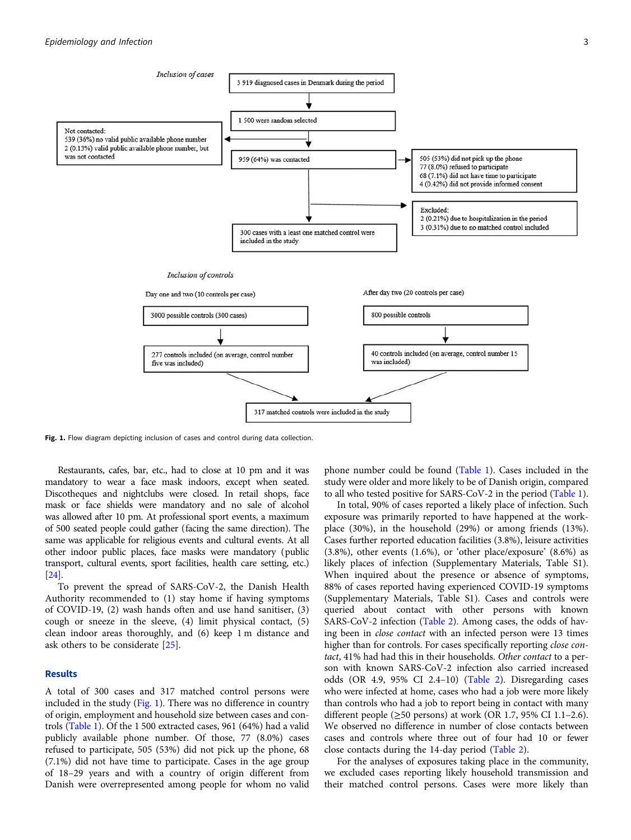

Fig. 1. Flow diagram depicting inclusion of cases and control during data collection.

Restaurants, cafes, bar, etc., had to close at 10 pm and it was mandatory to wear a face mask indoors, except when seated. Discotheques and nightclubs were closed. In retail shops, face mask or face shields were mandatory and no sale of alcohol was allowed after 10 pm. At professional sport events, a maximum of 500 seated people could gather (facing the same direction). The same was applicable for religious events and cultural events. At all other indoor public places, face masks were mandatory (public transport, cultural events, sport facilities, health care setting, etc.) [[24](#page-7-0)].

To prevent the spread of SARS-CoV-2, the Danish Health Authority recommended to (1) stay home if having symptoms of COVID-19, (2) wash hands often and use hand sanitiser, (3) cough or sneeze in the sleeve, (4) limit physical contact, (5) clean indoor areas thoroughly, and (6) keep 1 m distance and ask others to be considerate [\[25](#page-7-0)].

#### Results

A total of 300 cases and 317 matched control persons were included in the study (Fig. 1). There was no difference in country of origin, employment and household size between cases and controls ([Table 1\)](#page-3-0). Of the 1 500 extracted cases, 961 (64%) had a valid publicly available phone number. Of those, 77 (8.0%) cases refused to participate, 505 (53%) did not pick up the phone, 68 (7.1%) did not have time to participate. Cases in the age group of 18–29 years and with a country of origin different from Danish were overrepresented among people for whom no valid phone number could be found [\(Table 1](#page-3-0)). Cases included in the study were older and more likely to be of Danish origin, compared to all who tested positive for SARS-CoV-2 in the period [\(Table 1](#page-3-0)).

In total, 90% of cases reported a likely place of infection. Such exposure was primarily reported to have happened at the workplace (30%), in the household (29%) or among friends (13%). Cases further reported education facilities (3.8%), leisure activities (3.8%), other events (1.6%), or 'other place/exposure' (8.6%) as likely places of infection (Supplementary Materials, Table S1). When inquired about the presence or absence of symptoms, 88% of cases reported having experienced COVID-19 symptoms (Supplementary Materials, Table S1). Cases and controls were queried about contact with other persons with known SARS-CoV-2 infection [\(Table 2\)](#page-4-0). Among cases, the odds of having been in close contact with an infected person were 13 times higher than for controls. For cases specifically reporting close contact, 41% had had this in their households. Other contact to a person with known SARS-CoV-2 infection also carried increased odds (OR 4.9, 95% CI 2.4–10) [\(Table 2](#page-4-0)). Disregarding cases who were infected at home, cases who had a job were more likely than controls who had a job to report being in contact with many different people ( $\geq$ 50 persons) at work (OR 1.7, 95% CI 1.1–2.6). We observed no difference in number of close contacts between cases and controls where three out of four had 10 or fewer close contacts during the 14-day period ([Table 2](#page-4-0)).

For the analyses of exposures taking place in the community, we excluded cases reporting likely household transmission and their matched control persons. Cases were more likely than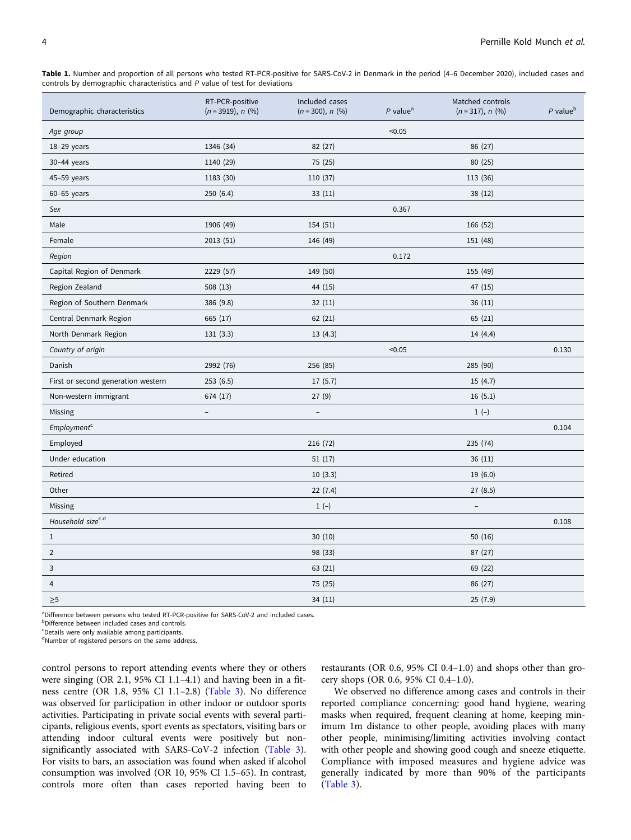<span id="page-3-0"></span>

| Table 1. Number and proportion of all persons who tested RT-PCR-positive for SARS-CoV-2 in Denmark in the period (4-6 December 2020), included cases and |  |  |  |  |  |  |  |
|----------------------------------------------------------------------------------------------------------------------------------------------------------|--|--|--|--|--|--|--|
| controls by demographic characteristics and P value of test for deviations                                                                               |  |  |  |  |  |  |  |

| Demographic characteristics        | RT-PCR-positive<br>$(n = 3919), n$ (%) | Included cases<br>$(n = 300), n$ (%) | $P$ value <sup>a</sup> | Matched controls<br>$(n=317), n$ (%) | $P$ value <sup>b</sup> |
|------------------------------------|----------------------------------------|--------------------------------------|------------------------|--------------------------------------|------------------------|
| Age group                          |                                        |                                      | < 0.05                 |                                      |                        |
| 18-29 years                        | 1346 (34)                              | 82 (27)                              |                        | 86 (27)                              |                        |
| 30-44 years                        | 1140 (29)                              | 75 (25)                              |                        | 80 (25)                              |                        |
| 45-59 years                        | 1183 (30)                              | 110 (37)                             |                        | 113 (36)                             |                        |
| $60-65$ years                      | 250(6.4)                               | 33(11)                               |                        | 38(12)                               |                        |
| Sex                                |                                        |                                      | 0.367                  |                                      |                        |
| Male                               | 1906 (49)                              | 154 (51)                             |                        | 166 (52)                             |                        |
| Female                             | 2013 (51)                              | 146 (49)                             |                        | 151 (48)                             |                        |
| Region                             |                                        |                                      | 0.172                  |                                      |                        |
| Capital Region of Denmark          | 2229 (57)                              | 149 (50)                             |                        | 155 (49)                             |                        |
| Region Zealand                     | 508 (13)                               | 44 (15)                              |                        | 47 (15)                              |                        |
| Region of Southern Denmark         | 386 (9.8)                              | 32(11)                               |                        | 36(11)                               |                        |
| Central Denmark Region             | 665 (17)                               | 62(21)                               |                        | 65 (21)                              |                        |
| North Denmark Region               | 131(3.3)                               | 13(4.3)                              |                        | 14 (4.4)                             |                        |
| Country of origin                  |                                        |                                      | < 0.05                 |                                      | 0.130                  |
| Danish                             | 2992 (76)                              | 256 (85)                             |                        | 285 (90)                             |                        |
| First or second generation western | 253(6.5)                               | 17(5.7)                              |                        | 15(4.7)                              |                        |
| Non-western immigrant              | 674 (17)                               | 27(9)                                |                        | 16(5.1)                              |                        |
| Missing                            | $\bar{ }$                              | $\overline{\phantom{a}}$             |                        | $1 (-)$                              |                        |
| Employment <sup>c</sup>            |                                        |                                      |                        |                                      | 0.104                  |
| Employed                           |                                        | 216 (72)                             |                        | 235 (74)                             |                        |
| Under education                    |                                        | 51 (17)                              |                        | 36(11)                               |                        |
| Retired                            |                                        | 10(3.3)                              |                        | 19(6.0)                              |                        |
| Other                              |                                        | 22(7.4)                              |                        | 27(8.5)                              |                        |
| Missing                            |                                        | $1 (-)$                              |                        | $\overline{\phantom{a}}$             |                        |
| Household sizec.d                  |                                        |                                      |                        |                                      | 0.108                  |
| $\mathbf{1}$                       |                                        | 30(10)                               |                        | 50(16)                               |                        |
| $\overline{2}$                     |                                        | 98 (33)                              |                        | 87 (27)                              |                        |
| 3                                  |                                        | 63 (21)                              |                        | 69 (22)                              |                        |
| $\overline{4}$                     |                                        | 75 (25)                              |                        | 86 (27)                              |                        |
| $\geq 5$                           |                                        | 34 (11)                              |                        | 25(7.9)                              |                        |

<sup>a</sup>Difference between persons who tested RT-PCR-positive for SARS-CoV-2 and included cases.

**bDifference between included cases and controls.** 

<sup>c</sup>Details were only available among participants.

<sup>d</sup>Number of registered persons on the same address.

control persons to report attending events where they or others were singing (OR 2.1, 95% CI 1.1–4.1) and having been in a fitness centre (OR 1.8, 95% CI 1.1–2.8) ([Table 3](#page-5-0)). No difference was observed for participation in other indoor or outdoor sports activities. Participating in private social events with several participants, religious events, sport events as spectators, visiting bars or attending indoor cultural events were positively but nonsignificantly associated with SARS-CoV-2 infection [\(Table 3\)](#page-5-0). For visits to bars, an association was found when asked if alcohol consumption was involved (OR 10, 95% CI 1.5–65). In contrast, controls more often than cases reported having been to restaurants (OR 0.6, 95% CI 0.4–1.0) and shops other than grocery shops (OR 0.6, 95% CI 0.4–1.0).

We observed no difference among cases and controls in their reported compliance concerning: good hand hygiene, wearing masks when required, frequent cleaning at home, keeping minimum 1m distance to other people, avoiding places with many other people, minimising/limiting activities involving contact with other people and showing good cough and sneeze etiquette. Compliance with imposed measures and hygiene advice was generally indicated by more than 90% of the participants ([Table 3](#page-5-0)).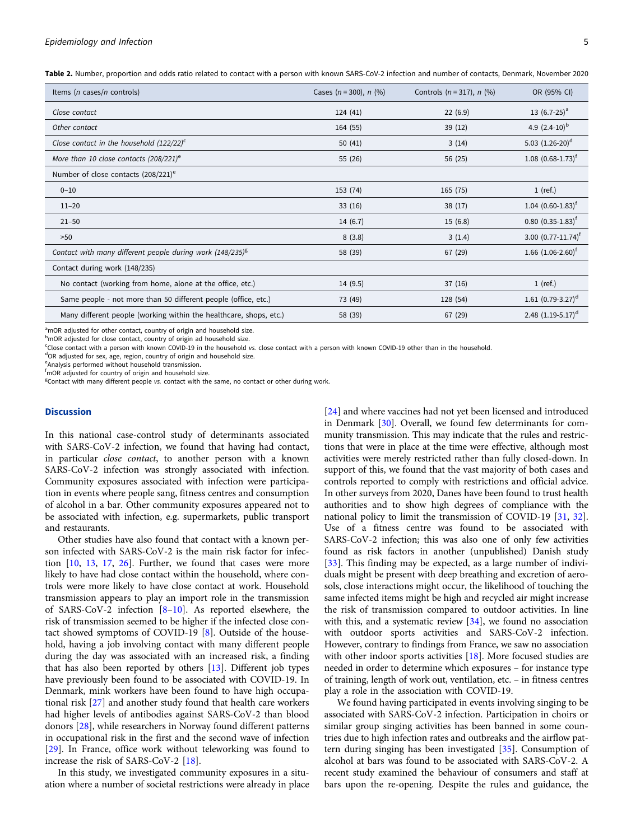<span id="page-4-0"></span>Table 2. Number, proportion and odds ratio related to contact with a person with known SARS-CoV-2 infection and number of contacts, Denmark, November 2020

| Items ( <i>n</i> cases/ <i>n</i> controls)                         | Cases $(n = 300)$ , $n$ (%) | Controls $(n = 317)$ , $n$ (%) | OR (95% CI)                        |
|--------------------------------------------------------------------|-----------------------------|--------------------------------|------------------------------------|
| Close contact                                                      | 124(41)                     | 22(6.9)                        | 13 $(6.7-25)^a$                    |
| Other contact                                                      | 164 (55)                    | 39(12)                         | 4.9 $(2.4-10)^{b}$                 |
| Close contact in the household $(122/22)^{c}$                      | 50(41)                      | 3(14)                          | 5.03 $(1.26-20)^d$                 |
| More than 10 close contacts $(208/221)^e$                          | 55 (26)                     | 56 (25)                        | $1.08$ $(0.68-1.73)$ <sup>f</sup>  |
| Number of close contacts $(208/221)^e$                             |                             |                                |                                    |
| $0 - 10$                                                           | 153 (74)                    | 165 (75)                       | $1$ (ref.)                         |
| $11 - 20$                                                          | 33(16)                      | 38(17)                         | $1.04$ (0.60-1.83) <sup>t</sup>    |
| $21 - 50$                                                          | 14(6.7)                     | 15(6.8)                        | $0.80$ $(0.35-1.83)$ <sup>f</sup>  |
| >50                                                                | 8(3.8)                      | 3(1.4)                         | 3.00 $(0.77 - 11.74)$ <sup>f</sup> |
| Contact with many different people during work $(148/235)^8$       | 58 (39)                     | 67 (29)                        | 1.66 $(1.06 - 2.60)^f$             |
| Contact during work (148/235)                                      |                             |                                |                                    |
| No contact (working from home, alone at the office, etc.)          | 14 (9.5)                    | 37(16)                         | $1$ (ref.)                         |
| Same people - not more than 50 different people (office, etc.)     | 73 (49)                     | 128 (54)                       | 1.61 $(0.79-3.27)^d$               |
| Many different people (working within the healthcare, shops, etc.) | 58 (39)                     | 67 (29)                        | 2.48 $(1.19-5.17)$ <sup>d</sup>    |

<sup>a</sup>mOR adjusted for other contact, country of origin and household size.

<sup>b</sup>mOR adjusted for close contact, country of origin ad household size.

Close contact with a person with known COVID-19 in the household vs. close contact with a person with known COVID-19 other than in the household.<br><sup>d</sup>OP adjusted for sex ago, region, country of erigin and household size.

OR adjusted for sex, age, region, country of origin and household size.

e Analysis performed without household transmission.

f mOR adjusted for country of origin and household size.

<sup>g</sup>Contact with many different people vs. contact with the same, no contact or other during work.

### **Discussion**

In this national case-control study of determinants associated with SARS-CoV-2 infection, we found that having had contact, in particular close contact, to another person with a known SARS-CoV-2 infection was strongly associated with infection. Community exposures associated with infection were participation in events where people sang, fitness centres and consumption of alcohol in a bar. Other community exposures appeared not to be associated with infection, e.g. supermarkets, public transport and restaurants.

Other studies have also found that contact with a known person infected with SARS-CoV-2 is the main risk factor for infection [\[10,](#page-6-0) [13](#page-7-0), [17,](#page-7-0) [26](#page-7-0)]. Further, we found that cases were more likely to have had close contact within the household, where controls were more likely to have close contact at work. Household transmission appears to play an import role in the transmission of SARS-CoV-2 infection  $[8-10]$  $[8-10]$  $[8-10]$  $[8-10]$  $[8-10]$ . As reported elsewhere, the risk of transmission seemed to be higher if the infected close contact showed symptoms of COVID-19 [[8](#page-6-0)]. Outside of the household, having a job involving contact with many different people during the day was associated with an increased risk, a finding that has also been reported by others [\[13\]](#page-7-0). Different job types have previously been found to be associated with COVID-19. In Denmark, mink workers have been found to have high occupational risk [\[27](#page-7-0)] and another study found that health care workers had higher levels of antibodies against SARS-CoV-2 than blood donors [[28\]](#page-7-0), while researchers in Norway found different patterns in occupational risk in the first and the second wave of infection [[29\]](#page-7-0). In France, office work without teleworking was found to increase the risk of SARS-CoV-2 [\[18\]](#page-7-0).

In this study, we investigated community exposures in a situation where a number of societal restrictions were already in place [\[24\]](#page-7-0) and where vaccines had not yet been licensed and introduced in Denmark [\[30](#page-7-0)]. Overall, we found few determinants for community transmission. This may indicate that the rules and restrictions that were in place at the time were effective, although most activities were merely restricted rather than fully closed-down. In support of this, we found that the vast majority of both cases and controls reported to comply with restrictions and official advice. In other surveys from 2020, Danes have been found to trust health authorities and to show high degrees of compliance with the national policy to limit the transmission of COVID-19 [\[31,](#page-7-0) [32](#page-7-0)]. Use of a fitness centre was found to be associated with SARS-CoV-2 infection; this was also one of only few activities found as risk factors in another (unpublished) Danish study [\[33\]](#page-7-0). This finding may be expected, as a large number of individuals might be present with deep breathing and excretion of aerosols, close interactions might occur, the likelihood of touching the same infected items might be high and recycled air might increase the risk of transmission compared to outdoor activities. In line with this, and a systematic review [[34\]](#page-7-0), we found no association with outdoor sports activities and SARS-CoV-2 infection. However, contrary to findings from France, we saw no association with other indoor sports activities [[18\]](#page-7-0). More focused studies are needed in order to determine which exposures – for instance type of training, length of work out, ventilation, etc. – in fitness centres play a role in the association with COVID-19.

We found having participated in events involving singing to be associated with SARS-CoV-2 infection. Participation in choirs or similar group singing activities has been banned in some countries due to high infection rates and outbreaks and the airflow pattern during singing has been investigated [\[35](#page-7-0)]. Consumption of alcohol at bars was found to be associated with SARS-CoV-2. A recent study examined the behaviour of consumers and staff at bars upon the re-opening. Despite the rules and guidance, the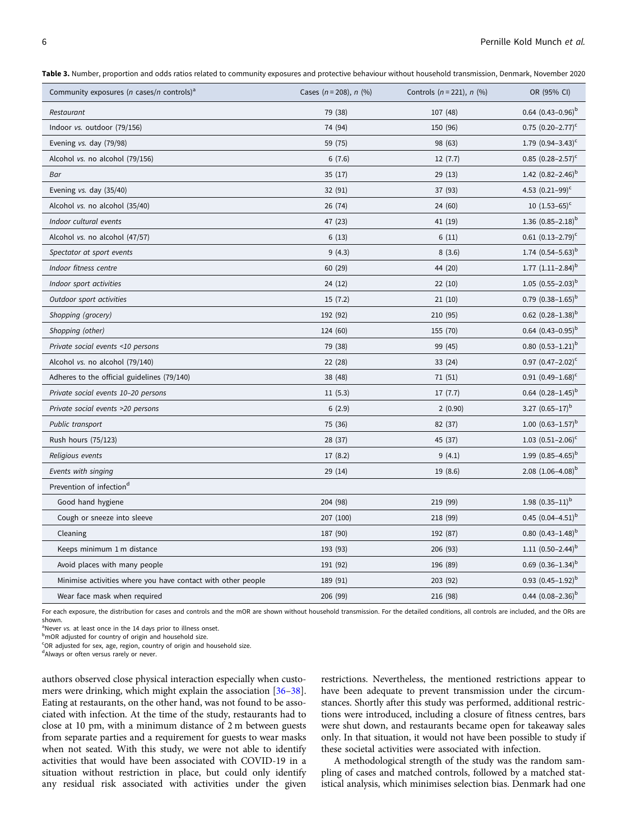<span id="page-5-0"></span>Table 3. Number, proportion and odds ratios related to community exposures and protective behaviour without household transmission. Denmark, November 2020

| Community exposures ( <i>n</i> cases/ <i>n</i> controls) <sup>a</sup> | Cases ( $n = 208$ ), $n$ (%) | Controls $(n = 221)$ , n $(\%)$ | OR (95% CI)                     |
|-----------------------------------------------------------------------|------------------------------|---------------------------------|---------------------------------|
| Restaurant                                                            | 79 (38)                      | 107 (48)                        | $0.64$ $(0.43-0.96)^{b}$        |
| Indoor vs. outdoor (79/156)                                           | 74 (94)                      | 150 (96)                        | $0.75$ $(0.20-2.77)^c$          |
| Evening vs. day (79/98)                                               | 59 (75)                      | 98 (63)                         | 1.79 $(0.94 - 3.43)^c$          |
| Alcohol vs. no alcohol (79/156)                                       | 6(7.6)                       | 12(7.7)                         | $0.85$ $(0.28-2.57)^c$          |
| Bar                                                                   | 35(17)                       | 29(13)                          | 1.42 $(0.82 - 2.46)^b$          |
| Evening vs. day (35/40)                                               | 32 (91)                      | 37 (93)                         | 4.53 $(0.21-99)^c$              |
| Alcohol vs. no alcohol (35/40)                                        | 26 (74)                      | 24 (60)                         | 10 $(1.53-65)^c$                |
| Indoor cultural events                                                | 47 (23)                      | 41 (19)                         | 1.36 $(0.85-2.18)^{b}$          |
| Alcohol vs. no alcohol (47/57)                                        | 6(13)                        | 6(11)                           | $0.61$ $(0.13-2.79)^c$          |
| Spectator at sport events                                             | 9(4.3)                       | 8(3.6)                          | 1.74 $(0.54 - 5.63)^b$          |
| Indoor fitness centre                                                 | 60 (29)                      | 44 (20)                         | 1.77 $(1.11-2.84)^{b}$          |
| Indoor sport activities                                               | 24(12)                       | 22(10)                          | 1.05 $(0.55-2.03)^{b}$          |
| Outdoor sport activities                                              | 15(7.2)                      | 21(10)                          | $0.79$ $(0.38-1.65)^{b}$        |
| Shopping (grocery)                                                    | 192 (92)                     | 210 (95)                        | $0.62$ (0.28-1.38) <sup>b</sup> |
| Shopping (other)                                                      | 124 (60)                     | 155 (70)                        | 0.64 $(0.43 - 0.95)^{b}$        |
| Private social events <10 persons                                     | 79 (38)                      | 99 (45)                         | $0.80~(0.53-1.21)^b$            |
| Alcohol vs. no alcohol (79/140)                                       | 22 (28)                      | 33 (24)                         | 0.97 $(0.47 - 2.02)^c$          |
| Adheres to the official guidelines (79/140)                           | 38 (48)                      | 71(51)                          | $0.91(0.49-1.68)^c$             |
| Private social events 10-20 persons                                   | 11(5.3)                      | 17(7.7)                         | 0.64 $(0.28-1.45)^{b}$          |
| Private social events >20 persons                                     | 6(2.9)                       | 2(0.90)                         | 3.27 $(0.65-17)^b$              |
| Public transport                                                      | 75 (36)                      | 82 (37)                         | 1.00 $(0.63 - 1.57)^b$          |
| Rush hours (75/123)                                                   | 28 (37)                      | 45 (37)                         | 1.03 $(0.51 - 2.06)^c$          |
| Religious events                                                      | 17(8.2)                      | 9(4.1)                          | 1.99 $(0.85-4.65)^b$            |
| Events with singing                                                   | 29 (14)                      | 19 (8.6)                        | 2.08 $(1.06-4.08)^{b}$          |
| Prevention of infection <sup>d</sup>                                  |                              |                                 |                                 |
| Good hand hygiene                                                     | 204 (98)                     | 219 (99)                        | 1.98 $(0.35-11)^{b}$            |
| Cough or sneeze into sleeve                                           | 207 (100)                    | 218 (99)                        | 0.45 $(0.04-4.51)^{b}$          |
| Cleaning                                                              | 187 (90)                     | 192 (87)                        | $0.80~(0.43 - 1.48)^{b}$        |
| Keeps minimum 1 m distance                                            | 193 (93)                     | 206 (93)                        | 1.11 $(0.50-2.44)^{b}$          |
| Avoid places with many people                                         | 191 (92)                     | 196 (89)                        | $0.69$ $(0.36-1.34)^{b}$        |
| Minimise activities where you have contact with other people          | 189 (91)                     | 203 (92)                        | 0.93 $(0.45-1.92)^{b}$          |
| Wear face mask when required                                          | 206 (99)                     | 216 (98)                        | 0.44 $(0.08-2.36)^{b}$          |

For each exposure, the distribution for cases and controls and the mOR are shown without household transmission. For the detailed conditions, all controls are included, and the ORs are shown.

<sup>a</sup> Never *vs.* at least once in the 14 days prior to illness onset.<br>**b**<sub>m</sub>OP adjusted for country of origin and bousehold size

b<sub>mOR adjusted for country of origin and household size.</sub>

<sup>c</sup>OR adjusted for sex, age, region, country of origin and household size.

dAlways or often versus rarely or never.

authors observed close physical interaction especially when customers were drinking, which might explain the association [[36](#page-7-0)–[38\]](#page-7-0). Eating at restaurants, on the other hand, was not found to be associated with infection. At the time of the study, restaurants had to close at 10 pm, with a minimum distance of 2 m between guests from separate parties and a requirement for guests to wear masks when not seated. With this study, we were not able to identify activities that would have been associated with COVID-19 in a situation without restriction in place, but could only identify any residual risk associated with activities under the given restrictions. Nevertheless, the mentioned restrictions appear to have been adequate to prevent transmission under the circumstances. Shortly after this study was performed, additional restrictions were introduced, including a closure of fitness centres, bars were shut down, and restaurants became open for takeaway sales only. In that situation, it would not have been possible to study if these societal activities were associated with infection.

A methodological strength of the study was the random sampling of cases and matched controls, followed by a matched statistical analysis, which minimises selection bias. Denmark had one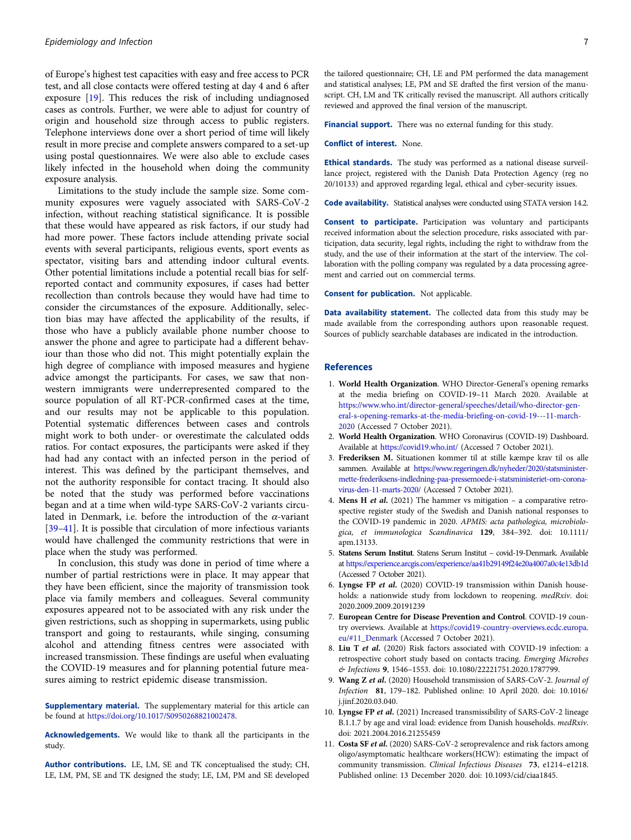<span id="page-6-0"></span>of Europe's highest test capacities with easy and free access to PCR test, and all close contacts were offered testing at day 4 and 6 after exposure [[19\]](#page-7-0). This reduces the risk of including undiagnosed cases as controls. Further, we were able to adjust for country of origin and household size through access to public registers. Telephone interviews done over a short period of time will likely result in more precise and complete answers compared to a set-up using postal questionnaires. We were also able to exclude cases likely infected in the household when doing the community exposure analysis.

Limitations to the study include the sample size. Some community exposures were vaguely associated with SARS-CoV-2 infection, without reaching statistical significance. It is possible that these would have appeared as risk factors, if our study had had more power. These factors include attending private social events with several participants, religious events, sport events as spectator, visiting bars and attending indoor cultural events. Other potential limitations include a potential recall bias for selfreported contact and community exposures, if cases had better recollection than controls because they would have had time to consider the circumstances of the exposure. Additionally, selection bias may have affected the applicability of the results, if those who have a publicly available phone number choose to answer the phone and agree to participate had a different behaviour than those who did not. This might potentially explain the high degree of compliance with imposed measures and hygiene advice amongst the participants. For cases, we saw that nonwestern immigrants were underrepresented compared to the source population of all RT-PCR-confirmed cases at the time, and our results may not be applicable to this population. Potential systematic differences between cases and controls might work to both under- or overestimate the calculated odds ratios. For contact exposures, the participants were asked if they had had any contact with an infected person in the period of interest. This was defined by the participant themselves, and not the authority responsible for contact tracing. It should also be noted that the study was performed before vaccinations began and at a time when wild-type SARS-CoV-2 variants circulated in Denmark, i.e. before the introduction of the  $\alpha$ -variant [[39](#page-7-0)–[41\]](#page-7-0). It is possible that circulation of more infectious variants would have challenged the community restrictions that were in place when the study was performed.

In conclusion, this study was done in period of time where a number of partial restrictions were in place. It may appear that they have been efficient, since the majority of transmission took place via family members and colleagues. Several community exposures appeared not to be associated with any risk under the given restrictions, such as shopping in supermarkets, using public transport and going to restaurants, while singing, consuming alcohol and attending fitness centres were associated with increased transmission. These findings are useful when evaluating the COVID-19 measures and for planning potential future measures aiming to restrict epidemic disease transmission.

**Supplementary material.** The supplementary material for this article can be found at [https://doi.org/10.1017/S0950268821002478.](https://doi.org/10.1017/S0950268821002478)

Acknowledgements. We would like to thank all the participants in the study.

Author contributions. LE, LM, SE and TK conceptualised the study; CH, LE, LM, PM, SE and TK designed the study; LE, LM, PM and SE developed the tailored questionnaire; CH, LE and PM performed the data management and statistical analyses; LE, PM and SE drafted the first version of the manuscript. CH, LM and TK critically revised the manuscript. All authors critically reviewed and approved the final version of the manuscript.

Financial support. There was no external funding for this study.

#### Conflict of interest. None.

Ethical standards. The study was performed as a national disease surveillance project, registered with the Danish Data Protection Agency (reg no 20/10133) and approved regarding legal, ethical and cyber-security issues.

Code availability. Statistical analyses were conducted using STATA version 14.2.

Consent to participate. Participation was voluntary and participants received information about the selection procedure, risks associated with participation, data security, legal rights, including the right to withdraw from the study, and the use of their information at the start of the interview. The collaboration with the polling company was regulated by a data processing agreement and carried out on commercial terms.

Consent for publication. Not applicable.

Data availability statement. The collected data from this study may be made available from the corresponding authors upon reasonable request. Sources of publicly searchable databases are indicated in the introduction.

#### References

- 1. World Health Organization. WHO Director-General's opening remarks at the media briefing on COVID-19–11 March 2020. Available at [https://www.who.int/director-general/speeches/detail/who-director-gen](https://www.who.int/director-general/speeches/detail/who-director-general-s-opening-remarks-at-the-media-briefing-on-covid-19---11-march-2020)[eral-s-opening-remarks-at-the-media-briefing-on-covid-19---11-march-](https://www.who.int/director-general/speeches/detail/who-director-general-s-opening-remarks-at-the-media-briefing-on-covid-19---11-march-2020)[2020](https://www.who.int/director-general/speeches/detail/who-director-general-s-opening-remarks-at-the-media-briefing-on-covid-19---11-march-2020) (Accessed 7 October 2021).
- 2. World Health Organization. WHO Coronavirus (COVID-19) Dashboard. Available at <https://covid19.who.int/> (Accessed 7 October 2021).
- 3. Frederiksen M. Situationen kommer til at stille kæmpe krav til os alle sammen. Available at [https://www.regeringen.dk/nyheder/2020/statsminister](https://www.regeringen.dk/nyheder/2020/statsminister-mette-frederiksens-indledning-paa-pressemoede-i-statsministeriet-om-corona-virus-den-11-marts-2020/)[mette-frederiksens-indledning-paa-pressemoede-i-statsministeriet-om-corona](https://www.regeringen.dk/nyheder/2020/statsminister-mette-frederiksens-indledning-paa-pressemoede-i-statsministeriet-om-corona-virus-den-11-marts-2020/)[virus-den-11-marts-2020/](https://www.regeringen.dk/nyheder/2020/statsminister-mette-frederiksens-indledning-paa-pressemoede-i-statsministeriet-om-corona-virus-den-11-marts-2020/) (Accessed 7 October 2021).
- 4. Mens H et al. (2021) The hammer vs mitigation a comparative retrospective register study of the Swedish and Danish national responses to the COVID-19 pandemic in 2020. APMIS: acta pathologica, microbiologica, et immunologica Scandinavica 129, 384–392. doi: 10.1111/ apm.13133.
- 5. Statens Serum Institut. Statens Serum Institut covid-19-Denmark. Available at <https://experience.arcgis.com/experience/aa41b29149f24e20a4007a0c4e13db1d> (Accessed 7 October 2021).
- 6. Lyngse FP et al. (2020) COVID-19 transmission within Danish households: a nationwide study from lockdown to reopening. medRxiv. doi: 2020.2009.2009.20191239
- 7. European Centre for Disease Prevention and Control. COVID-19 country overviews. Available at [https://covid19-country-overviews.ecdc.europa.](https://covid19-country-overviews.ecdc.europa.eu/#11_Denmark) [eu/#11\\_Denmark](https://covid19-country-overviews.ecdc.europa.eu/#11_Denmark) (Accessed 7 October 2021).
- 8. Liu T et al. (2020) Risk factors associated with COVID-19 infection: a retrospective cohort study based on contacts tracing. Emerging Microbes & Infections 9, 1546–1553. doi: 10.1080/22221751.2020.1787799.
- 9. Wang Z et al. (2020) Household transmission of SARS-CoV-2. Journal of Infection 81, 179–182. Published online: 10 April 2020. doi: 10.1016/ j.jinf.2020.03.040.
- 10. Lyngse FP et al. (2021) Increased transmissibility of SARS-CoV-2 lineage B.1.1.7 by age and viral load: evidence from Danish households. medRxiv. doi: 2021.2004.2016.21255459
- 11. Costa SF et al. (2020) SARS-CoV-2 seroprevalence and risk factors among oligo/asymptomatic healthcare workers(HCW): estimating the impact of community transmission. Clinical Infectious Diseases 73, e1214–e1218. Published online: 13 December 2020. doi: 10.1093/cid/ciaa1845.